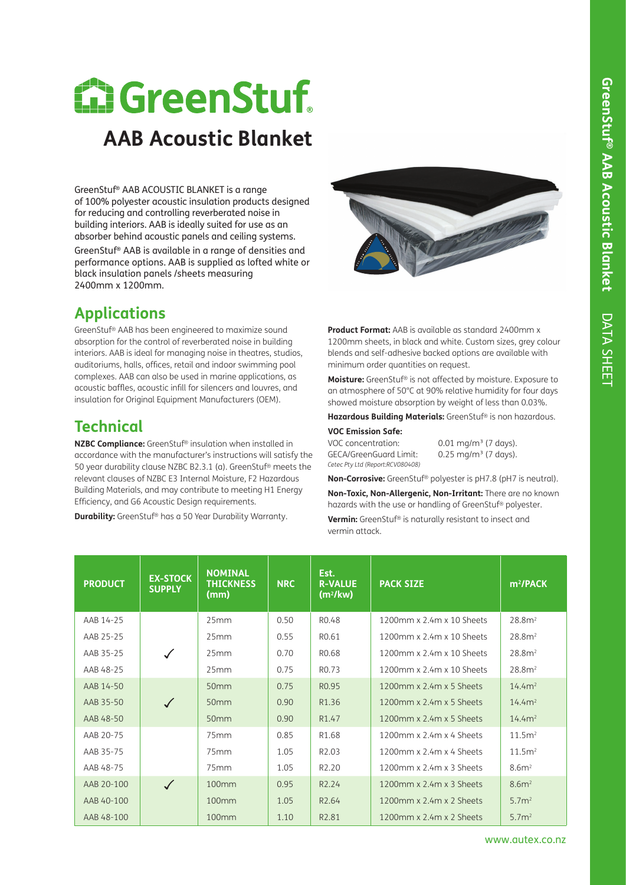# **M. GreenStuf AAB Acoustic Blanket**

GreenStuf® AAB ACOUSTIC BLANKET is a range of 100% polyester acoustic insulation products designed for reducing and controlling reverberated noise in building interiors. AAB is ideally suited for use as an absorber behind acoustic panels and ceiling systems. GreenStuf® AAB is available in a range of densities and performance options. AAB is supplied as lofted white or black insulation panels /sheets measuring 2400mm x 1200mm.

# **Applications**

GreenStuf® AAB has been engineered to maximize sound absorption for the control of reverberated noise in building interiors. AAB is ideal for managing noise in theatres, studios, auditoriums, halls, offices, retail and indoor swimming pool complexes. AAB can also be used in marine applications, as acoustic baffles, acoustic infill for silencers and louvres, and insulation for Original Equipment Manufacturers (OEM).

## **Technical**

**NZBC Compliance:** GreenStuf® insulation when installed in accordance with the manufacturer's instructions will satisfy the 50 year durability clause NZBC B2.3.1 (a). GreenStuf® meets the relevant clauses of NZBC E3 Internal Moisture, F2 Hazardous Building Materials, and may contribute to meeting H1 Energy Efficiency, and G6 Acoustic Design requirements.

**Durability:** GreenStuf® has a 50 Year Durability Warranty.



**Product Format:** AAB is available as standard 2400mm x 1200mm sheets, in black and white. Custom sizes, grey colour blends and self-adhesive backed options are available with minimum order quantities on request.

**Moisture:** GreenStuf® is not affected by moisture. Exposure to an atmosphere of 50°C at 90% relative humidity for four days showed moisture absorption by weight of less than 0.03%.

**Hazardous Building Materials:** GreenStuf® is non hazardous.

## **VOC Emission Safe:**

GECA/GreenGuard Limit: 0.25 mg/m<sup>3</sup> (7 days). *Cetec Pty Ltd (Report:RCV080408)*

VOC concentration: 0.01 mg/m<sup>3</sup> (7 days).

**Non-Corrosive:** GreenStuf® polyester is pH7.8 (pH7 is neutral).

**Non-Toxic, Non-Allergenic, Non-Irritant:** There are no known hazards with the use or handling of GreenStuf® polyester.

**Vermin:** GreenStuf® is naturally resistant to insect and vermin attack.

| <b>PRODUCT</b> | <b>EX-STOCK</b><br><b>SUPPLY</b> | <b>NOMINAL</b><br><b>THICKNESS</b><br>(mm) | <b>NRC</b> | Est.<br><b>R-VALUE</b><br>(m <sup>2</sup> /kw) | <b>PACK SIZE</b>                   | $m^2$ /PACK        |
|----------------|----------------------------------|--------------------------------------------|------------|------------------------------------------------|------------------------------------|--------------------|
| AAB 14-25      |                                  | 25mm                                       | 0.50       | R <sub>0.48</sub>                              | 1200mm x 2.4m x 10 Sheets          | 28.8 <sup>2</sup>  |
| AAB 25-25      |                                  | 25mm                                       | 0.55       | R <sub>0.61</sub>                              | $1200$ mm x $2.4$ m x $10.5$ heets | 28.8 <sup>2</sup>  |
| AAB 35-25      | $\checkmark$                     | 25mm                                       | 0.70       | R <sub>0.68</sub>                              | 1200mm x 2.4m x 10 Sheets          | 28.8 <sup>2</sup>  |
| AAB 48-25      |                                  | 25mm                                       | 0.75       | R <sub>0.73</sub>                              | $1200$ mm x $2.4$ m x $10.5$ heets | 28.8 <sup>2</sup>  |
| AAB 14-50      |                                  | 50 <sub>mm</sub>                           | 0.75       | R <sub>0.95</sub>                              | $1200$ mm x $2.4$ m x 5 Sheets     | 14.4m <sup>2</sup> |
| AAB 35-50      | $\checkmark$                     | 50 <sub>mm</sub>                           | 0.90       | R1.36                                          | $1200$ mm x $2.4$ m x 5 Sheets     | 14.4m <sup>2</sup> |
| AAB 48-50      |                                  | 50 <sub>mm</sub>                           | 0.90       | R <sub>1.47</sub>                              | $1200$ mm x $2.4$ m x 5 Sheets     | 14.4m <sup>2</sup> |
| AAB 20-75      |                                  | 75mm                                       | 0.85       | R <sub>1.68</sub>                              | $1200$ mm x $2.4$ m x 4 Sheets     | 11.5m <sup>2</sup> |
| AAB 35-75      |                                  | 75mm                                       | 1.05       | R <sub>2.0</sub> 3                             | 1200mm x 2.4m x 4 Sheets           | 11.5m <sup>2</sup> |
| AAB 48-75      |                                  | 75mm                                       | 1.05       | R <sub>2.20</sub>                              | $1200$ mm x $2.4$ m x $3$ Sheets   | 8.6m <sup>2</sup>  |
| AAB 20-100     | $\checkmark$                     | 100mm                                      | 0.95       | R <sub>2.24</sub>                              | $1200$ mm x $2.4$ m x $3.5$ heets  | 8.6m <sup>2</sup>  |
| AAB 40-100     |                                  | 100mm                                      | 1.05       | R <sub>2.64</sub>                              | 1200mm x 2.4m x 2 Sheets           | 5.7 <sup>2</sup>   |
| AAB 48-100     |                                  | 100 <sub>mm</sub>                          | 1.10       | R <sub>2.81</sub>                              | $1200$ mm x $2.4$ m x $2$ Sheets   | 5.7 <sup>2</sup>   |